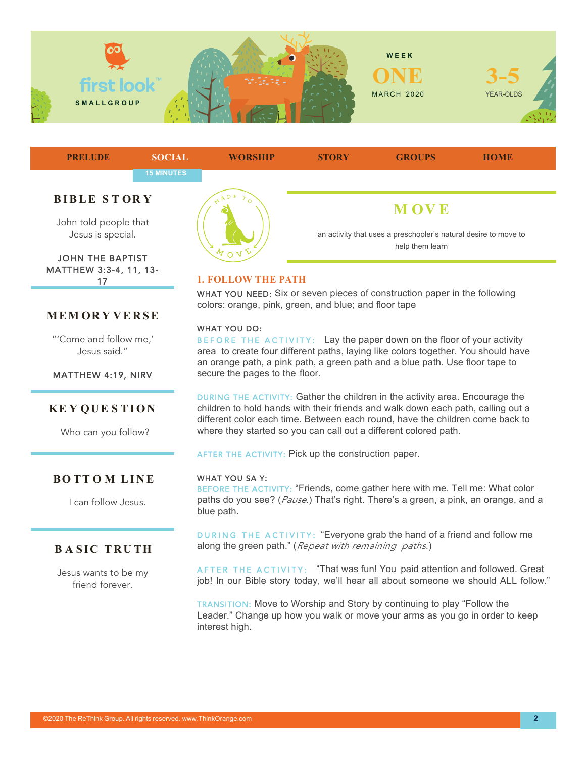



JOHN THE BAPTIST MATTHEW 3:3-4, 11, 13- 17

## **MEM OR Y VERSE**

"'Come and follow me,' Jesus said."

MATTHEW 4:19, NIRV

## **KE Y QUE S TION**

Who can you follow?

## **BO TT O M LINE**

I can follow Jesus.

# **BASIC TRUTH**

Jesus wants to be my friend forever.



## **1. FOLLOW THE PATH**

WHAT YOU NEED: Six or seven pieces of construction paper in the following colors: orange, pink, green, and blue; and floor tape

#### WHAT YOU DO:

BEFORE THE ACTIVITY: Lay the paper down on the floor of your activity area to create four different paths, laying like colors together. You should have an orange path, a pink path, a green path and a blue path. Use floor tape to secure the pages to the floor.

DURING THE ACTIVITY: Gather the children in the activity area. Encourage the children to hold hands with their friends and walk down each path, calling out a different color each time. Between each round, have the children come back to where they started so you can call out a different colored path.

AFTER THE ACTIVITY: Pick up the construction paper.

#### WHAT YOU SA Y:

BEFORE THE ACTIVITY: "Friends, come gather here with me. Tell me: What color paths do you see? (*Pause.*) That's right. There's a green, a pink, an orange, and a blue path.

DURING THE ACTIVITY: "Everyone grab the hand of a friend and follow me along the green path." (*Repeat with remaining paths.*)

AFTER THE ACTIVITY: "That was fun! You paid attention and followed. Great job! In our Bible story today, we'll hear all about someone we should ALL follow."

TRANSITION: Move to Worship and Story by continuing to play "Follow the Leader." Change up how you walk or move your arms as you go in order to keep interest high.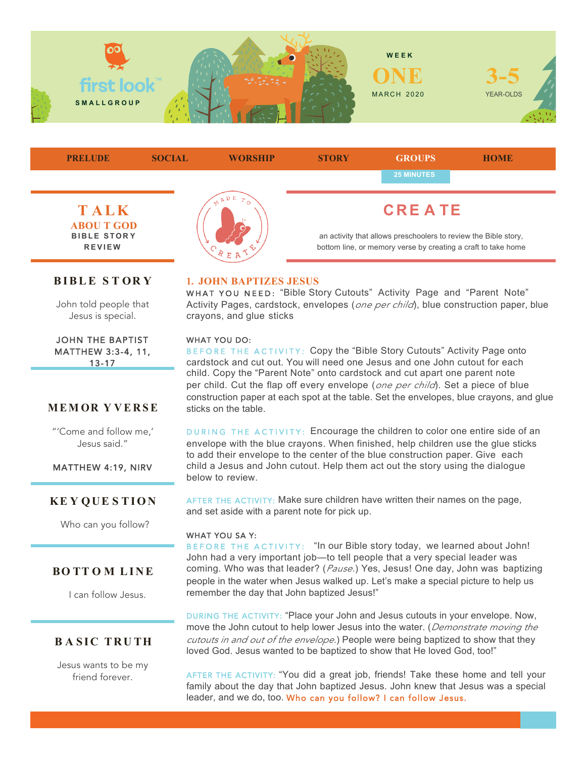



# **BIBLE S T OR Y**

John told people that Jesus is special.

JOHN THE BAPTIST MATTHEW 3:3-4, 11, 13-17

## **MEM OR Y VERSE**

"'Come and follow me,' Jesus said."

MATTHEW 4:19, NIRV

### **KE Y QUE S TION**

Who can you follow?

### **BO TT O M LINE**

I can follow Jesus.

## **BASIC TRUTH**

Jesus wants to be my friend forever.

#### **1. JOHN BAPTIZES JESUS**

WHAT YOU NEED: "Bible Story Cutouts" Activity Page and "Parent Note" Activity Pages, cardstock, envelopes (*one per child*), blue construction paper, blue crayons, and glue sticks

#### WHAT YOU DO:

BEF ORE THE ACTIVITY: Copy the "Bible Story Cutouts" Activity Page onto cardstock and cut out. You will need one Jesus and one John cutout for each child. Copy the "Parent Note" onto cardstock and cut apart one parent note per child. Cut the flap off every envelope (*one per child*). Set a piece of blue construction paper at each spot at the table. Set the envelopes, blue crayons, and glue sticks on the table.

DURING THE ACTIVITY: Encourage the children to color one entire side of an envelope with the blue crayons. When finished, help children use the glue sticks to add their envelope to the center of the blue construction paper. Give each child a Jesus and John cutout. Help them act out the story using the dialogue below to review.

AFTER THE ACTIVITY: Make sure children have written their names on the page, and set aside with a parent note for pick up.

#### WHAT YOU SA Y:

BEFORE THE ACTIVITY: "In our Bible story today, we learned about John! John had a very important job—to tell people that a very special leader was coming. Who was that leader? (*Pause.*) Yes, Jesus! One day, John was baptizing people in the water when Jesus walked up. Let's make a special picture to help us remember the day that John baptized Jesus!"

DURING THE ACTIVITY: "Place your John and Jesus cutouts in your envelope. Now, move the John cutout to help lower Jesus into the water. (*Demonstrate moving the cutouts in and out of the envelope.*) People were being baptized to show that they loved God. Jesus wanted to be baptized to show that He loved God, too!"

AFTER THE ACTIVITY: "You did a great job, friends! Take these home and tell your family about the day that John baptized Jesus. John knew that Jesus was a special leader, and we do, too. Who can you follow? I can follow Jesus.

©2020 The ReThink Group. All rights reserved. www.ThinkOrange.com **3**